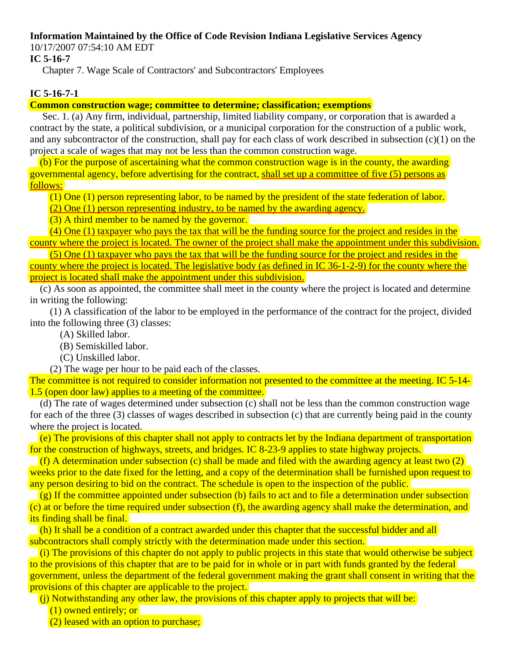# **Information Maintained by the Office of Code Revision Indiana Legislative Services Agency**

10/17/2007 07:54:10 AM EDT

# **IC 5-16-7**

Chapter 7. Wage Scale of Contractors' and Subcontractors' Employees

# **IC 5-16-7-1**

**Common construction wage; committee to determine; classification; exemptions** 

Sec. 1. (a) Any firm, individual, partnership, limited liability company, or corporation that is awarded a contract by the state, a political subdivision, or a municipal corporation for the construction of a public work, and any subcontractor of the construction, shall pay for each class of work described in subsection (c)(1) on the project a scale of wages that may not be less than the common construction wage.

 (b) For the purpose of ascertaining what the common construction wage is in the county, the awarding governmental agency, before advertising for the contract, shall set up a committee of five (5) persons as follows:

(1) One (1) person representing labor, to be named by the president of the state federation of labor.

 $(2)$  One (1) person representing industry, to be named by the awarding agency.

(3) A third member to be named by the governor.

 (4) One (1) taxpayer who pays the tax that will be the funding source for the project and resides in the county where the project is located. The owner of the project shall make the appointment under this subdivision.

(5) One (1) taxpayer who pays the tax that will be the funding source for the project and resides in the county where the project is located. The legislative body (as defined in IC 36-1-2-9) for the county where the project is located shall make the appointment under this subdivision.

 (c) As soon as appointed, the committee shall meet in the county where the project is located and determine in writing the following:

 (1) A classification of the labor to be employed in the performance of the contract for the project, divided into the following three (3) classes:

- (A) Skilled labor.
- (B) Semiskilled labor.
- (C) Unskilled labor.

(2) The wage per hour to be paid each of the classes.

The committee is not required to consider information not presented to the committee at the meeting. IC 5-14- 1.5 (open door law) applies to a meeting of the committee.

 (d) The rate of wages determined under subsection (c) shall not be less than the common construction wage for each of the three (3) classes of wages described in subsection (c) that are currently being paid in the county where the project is located.

 (e) The provisions of this chapter shall not apply to contracts let by the Indiana department of transportation for the construction of highways, streets, and bridges. IC 8-23-9 applies to state highway projects.

(f) A determination under subsection (c) shall be made and filed with the awarding agency at least two  $(2)$ weeks prior to the date fixed for the letting, and a copy of the determination shall be furnished upon request to any person desiring to bid on the contract. The schedule is open to the inspection of the public.

 $(g)$  If the committee appointed under subsection (b) fails to act and to file a determination under subsection (c) at or before the time required under subsection (f), the awarding agency shall make the determination, and its finding shall be final.

 (h) It shall be a condition of a contract awarded under this chapter that the successful bidder and all subcontractors shall comply strictly with the determination made under this section.

 (i) The provisions of this chapter do not apply to public projects in this state that would otherwise be subject to the provisions of this chapter that are to be paid for in whole or in part with funds granted by the federal government, unless the department of the federal government making the grant shall consent in writing that the provisions of this chapter are applicable to the project.

(i) Notwithstanding any other law, the provisions of this chapter apply to projects that will be:

(1) owned entirely; or

(2) leased with an option to purchase;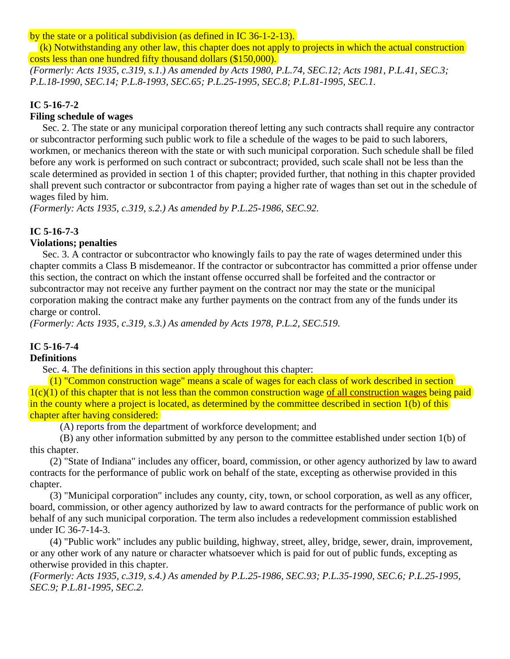by the state or a political subdivision (as defined in IC 36-1-2-13).

 (k) Notwithstanding any other law, this chapter does not apply to projects in which the actual construction costs less than one hundred fifty thousand dollars (\$150,000).

*(Formerly: Acts 1935, c.319, s.1.) As amended by Acts 1980, P.L.74, SEC.12; Acts 1981, P.L.41, SEC.3; P.L.18-1990, SEC.14; P.L.8-1993, SEC.65; P.L.25-1995, SEC.8; P.L.81-1995, SEC.1.*

### **IC 5-16-7-2**

# **Filing schedule of wages**

Sec. 2. The state or any municipal corporation thereof letting any such contracts shall require any contractor or subcontractor performing such public work to file a schedule of the wages to be paid to such laborers, workmen, or mechanics thereon with the state or with such municipal corporation. Such schedule shall be filed before any work is performed on such contract or subcontract; provided, such scale shall not be less than the scale determined as provided in section 1 of this chapter; provided further, that nothing in this chapter provided shall prevent such contractor or subcontractor from paying a higher rate of wages than set out in the schedule of wages filed by him.

*(Formerly: Acts 1935, c.319, s.2.) As amended by P.L.25-1986, SEC.92.*

# **IC 5-16-7-3**

#### **Violations; penalties**

Sec. 3. A contractor or subcontractor who knowingly fails to pay the rate of wages determined under this chapter commits a Class B misdemeanor. If the contractor or subcontractor has committed a prior offense under this section, the contract on which the instant offense occurred shall be forfeited and the contractor or subcontractor may not receive any further payment on the contract nor may the state or the municipal corporation making the contract make any further payments on the contract from any of the funds under its charge or control.

*(Formerly: Acts 1935, c.319, s.3.) As amended by Acts 1978, P.L.2, SEC.519.*

## **IC 5-16-7-4**

#### **Definitions**

Sec. 4. The definitions in this section apply throughout this chapter:

 $(1)$  "Common construction wage" means a scale of wages for each class of work described in section  $1(c)(1)$  of this chapter that is not less than the common construction wage of all construction wages being paid in the county where a project is located, as determined by the committee described in section 1(b) of this chapter after having considered:

(A) reports from the department of workforce development; and

 (B) any other information submitted by any person to the committee established under section 1(b) of this chapter.

 (2) "State of Indiana" includes any officer, board, commission, or other agency authorized by law to award contracts for the performance of public work on behalf of the state, excepting as otherwise provided in this chapter.

 (3) "Municipal corporation" includes any county, city, town, or school corporation, as well as any officer, board, commission, or other agency authorized by law to award contracts for the performance of public work on behalf of any such municipal corporation. The term also includes a redevelopment commission established under IC 36-7-14-3.

 (4) "Public work" includes any public building, highway, street, alley, bridge, sewer, drain, improvement, or any other work of any nature or character whatsoever which is paid for out of public funds, excepting as otherwise provided in this chapter.

*(Formerly: Acts 1935, c.319, s.4.) As amended by P.L.25-1986, SEC.93; P.L.35-1990, SEC.6; P.L.25-1995, SEC.9; P.L.81-1995, SEC.2.*